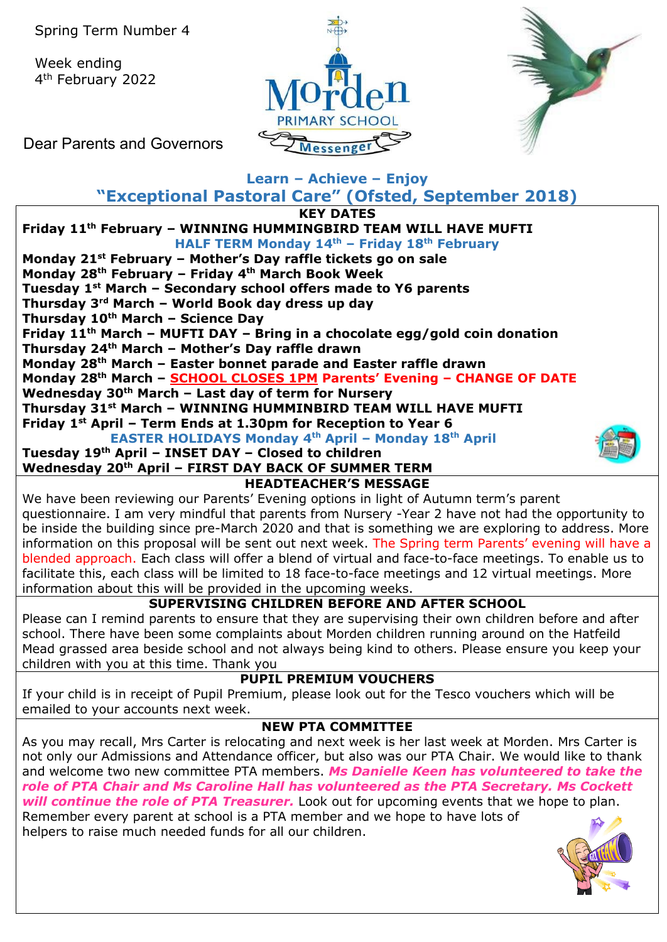Spring Term Number 4

Week ending 4th February 2022





Dear Parents and Governors

## **Learn – Achieve – Enjoy**

**"Exceptional Pastoral Care" (Ofsted, September 2018) KEY DATES**

### **Friday 11th February – WINNING HUMMINGBIRD TEAM WILL HAVE MUFTI HALF TERM Monday 14th – Friday 18th February Monday 21st February – Mother's Day raffle tickets go on sale Monday 28th February – Friday 4th March Book Week Tuesday 1st March – Secondary school offers made to Y6 parents Thursday 3rd March – World Book day dress up day**

**Thursday 10th March – Science Day**

**Friday 11th March – MUFTI DAY – Bring in a chocolate egg/gold coin donation**

**Thursday 24th March – Mother's Day raffle drawn**

**Monday 28th March – Easter bonnet parade and Easter raffle drawn**

**Monday 28th March – SCHOOL CLOSES 1PM Parents' Evening – CHANGE OF DATE**

**Wednesday 30th March – Last day of term for Nursery**

**Thursday 31st March – WINNING HUMMINBIRD TEAM WILL HAVE MUFTI**

**Friday 1st April – Term Ends at 1.30pm for Reception to Year 6**

**EASTER HOLIDAYS Monday 4th April – Monday 18th April**

### **Tuesday 19th April – INSET DAY – Closed to children Wednesday 20th April – FIRST DAY BACK OF SUMMER TERM**



**HEADTEACHER'S MESSAGE** 

We have been reviewing our Parents' Evening options in light of Autumn term's parent questionnaire. I am very mindful that parents from Nursery -Year 2 have not had the opportunity to be inside the building since pre-March 2020 and that is something we are exploring to address. More information on this proposal will be sent out next week. The Spring term Parents' evening will have a blended approach. Each class will offer a blend of virtual and face-to-face meetings. To enable us to facilitate this, each class will be limited to 18 face-to-face meetings and 12 virtual meetings. More information about this will be provided in the upcoming weeks.

# **SUPERVISING CHILDREN BEFORE AND AFTER SCHOOL**

Please can I remind parents to ensure that they are supervising their own children before and after school. There have been some complaints about Morden children running around on the Hatfeild Mead grassed area beside school and not always being kind to others. Please ensure you keep your children with you at this time. Thank you

### **PUPIL PREMIUM VOUCHERS**

If your child is in receipt of Pupil Premium, please look out for the Tesco vouchers which will be emailed to your accounts next week.

# **NEW PTA COMMITTEE**

As you may recall, Mrs Carter is relocating and next week is her last week at Morden. Mrs Carter is not only our Admissions and Attendance officer, but also was our PTA Chair. We would like to thank and welcome two new committee PTA members. *Ms Danielle Keen has volunteered to take the role of PTA Chair and Ms Caroline Hall has volunteered as the PTA Secretary. Ms Cockett will continue the role of PTA Treasurer.* Look out for upcoming events that we hope to plan. Remember every parent at school is a PTA member and we hope to have lots of helpers to raise much needed funds for all our children.

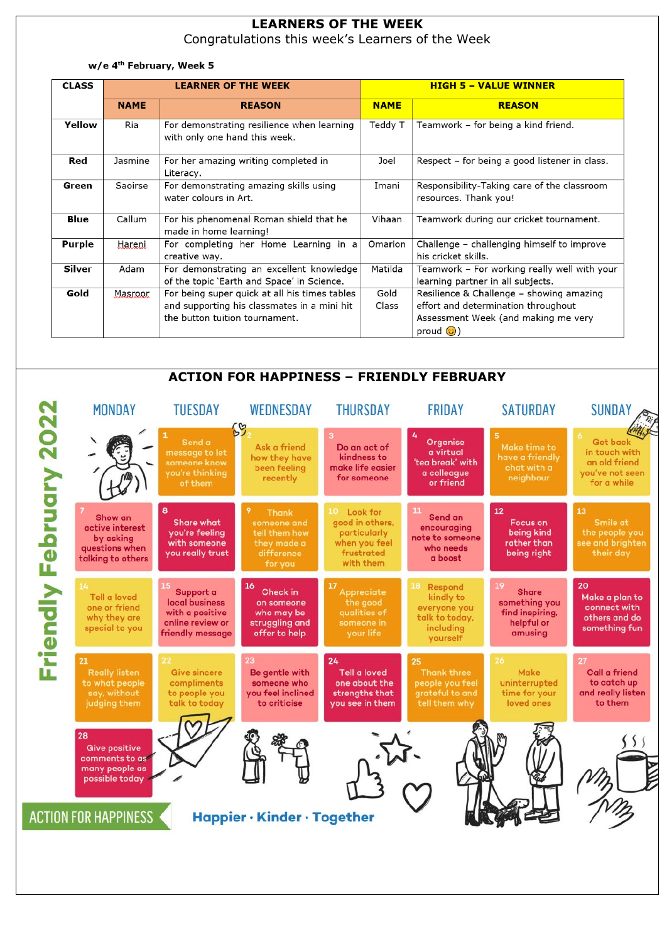## **LEARNERS OF THE WEEK**

Congratulations this week's Learners of the Week

#### w/e 4<sup>th</sup> February, Week 5

| <b>CLASS</b>  |             | <b>LEARNER OF THE WEEK</b>                                                                                                     | <b>HIGH 5 - VALUE WINNER</b> |                                                                                                                                                 |  |
|---------------|-------------|--------------------------------------------------------------------------------------------------------------------------------|------------------------------|-------------------------------------------------------------------------------------------------------------------------------------------------|--|
|               | <b>NAME</b> | <b>REASON</b>                                                                                                                  | <b>NAME</b>                  | <b>REASON</b>                                                                                                                                   |  |
| Yellow        | Ria         | For demonstrating resilience when learning<br>with only one hand this week.                                                    | Teddy T                      | Teamwork – for being a kind friend.                                                                                                             |  |
| Red           | Jasmine     | For her amazing writing completed in<br>Literacy.                                                                              | Joel                         | Respect – for being a good listener in class.                                                                                                   |  |
| Green         | Saoirse     | For demonstrating amazing skills using<br>water colours in Art.                                                                | Imani                        | Responsibility-Taking care of the classroom<br>resources. Thank you!                                                                            |  |
| Blue          | Callum      | For his phenomenal Roman shield that he<br>made in home learning!                                                              | Vihaan                       | Teamwork during our cricket tournament.                                                                                                         |  |
| <b>Purple</b> | Hareni.     | For completing her Home Learning in a<br>creative way.                                                                         | Omarion                      | Challenge - challenging himself to improve<br>his cricket skills.                                                                               |  |
| Silver        | Adam        | For demonstrating an excellent knowledge<br>of the topic `Earth and Space' in Science.                                         | Matilda                      | Teamwork - For working really well with your<br>learning partner in all subjects.                                                               |  |
| Gold          | Masroor     | For being super quick at all his times tables<br>and supporting his classmates in a mini hit<br>the button tuition tournament. | Gold<br>Class                | Resilience & Challenge - showing amazing<br>effort and determination throughout<br>Assessment Week (and making me very<br>proud $\circled{c}$ ) |  |

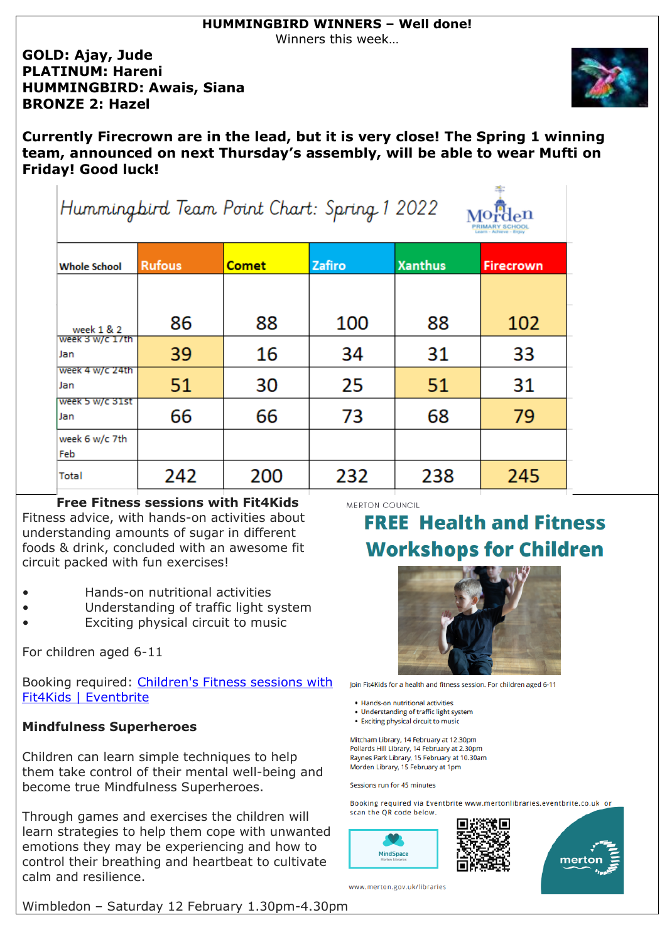Winners this week…

### **GOLD: Ajay, Jude PLATINUM: Hareni HUMMINGBIRD: Awais, Siana BRONZE 2: Hazel**



**Currently Firecrown are in the lead, but it is very close! The Spring 1 winning team, announced on next Thursday's assembly, will be able to wear Mufti on Friday! Good luck!**

| Hummingbird Team Point Chart: Spring 1 2022<br>Learn - Achieve - Enjo |               |              |        |                |                  |  |  |  |
|-----------------------------------------------------------------------|---------------|--------------|--------|----------------|------------------|--|--|--|
| <b>Whole School</b>                                                   | <b>Rufous</b> | <b>Comet</b> | Zafiro | <b>Xanthus</b> | <b>Firecrown</b> |  |  |  |
|                                                                       |               |              |        |                |                  |  |  |  |
| week 1 & 2                                                            | 86            | 88           | 100    | 88             | 102              |  |  |  |
| week 3 w/c 1/th<br>Jan                                                | 39            | 16           | 34     | 31             | 33               |  |  |  |
| week 4 w/c 24th<br>Jan                                                | 51            | 30           | 25     | 51             | 31               |  |  |  |
| week 5 w/c 31st<br>Jan                                                | 66            | 66           | 73     | 68             | 79               |  |  |  |
| week 6 w/c 7th<br>Feb                                                 |               |              |        |                |                  |  |  |  |
| Total                                                                 | 242           | 200          | 232    | 238            | 245              |  |  |  |

### **Free Fitness sessions with Fit4Kids** Fitness advice, with hands-on activities about understanding amounts of sugar in different foods & drink, concluded with an awesome fit circuit packed with fun exercises!

- Hands-on nutritional activities
- Understanding of traffic light system
- Exciting physical circuit to music

For children aged 6-11

Booking required: [Children's Fitness sessions with](https://www.eventbrite.com/cc/childrens-fitness-sessions-with-fit4kids-108639)  [Fit4Kids | Eventbrite](https://www.eventbrite.com/cc/childrens-fitness-sessions-with-fit4kids-108639)

### **Mindfulness Superheroes**

Children can learn simple techniques to help them take control of their mental well-being and become true Mindfulness Superheroes.

Through games and exercises the children will learn strategies to help them cope with unwanted emotions they may be experiencing and how to control their breathing and heartbeat to cultivate calm and resilience.

MERTON COUNCIL

# **FREE Health and Fitness Workshops for Children**

at:



Join Fit4Kids for a health and fitness session. For children aged 6-11

- · Hands-on nutritional activities
- Understanding of traffic light system
- Exciting physical circuit to music

Mitcham Library, 14 February at 12.30pm Pollards Hill Library, 14 February at 2.30pm Raynes Park Library, 15 February at 10.30am Morden Library, 15 February at 1pm

#### Sessions run for 45 minutes

Booking required via Eventbrite www.mertonlibraries.eventbrite.co.uk or scan the QR code below.





www.merton.gov.uk/libraries